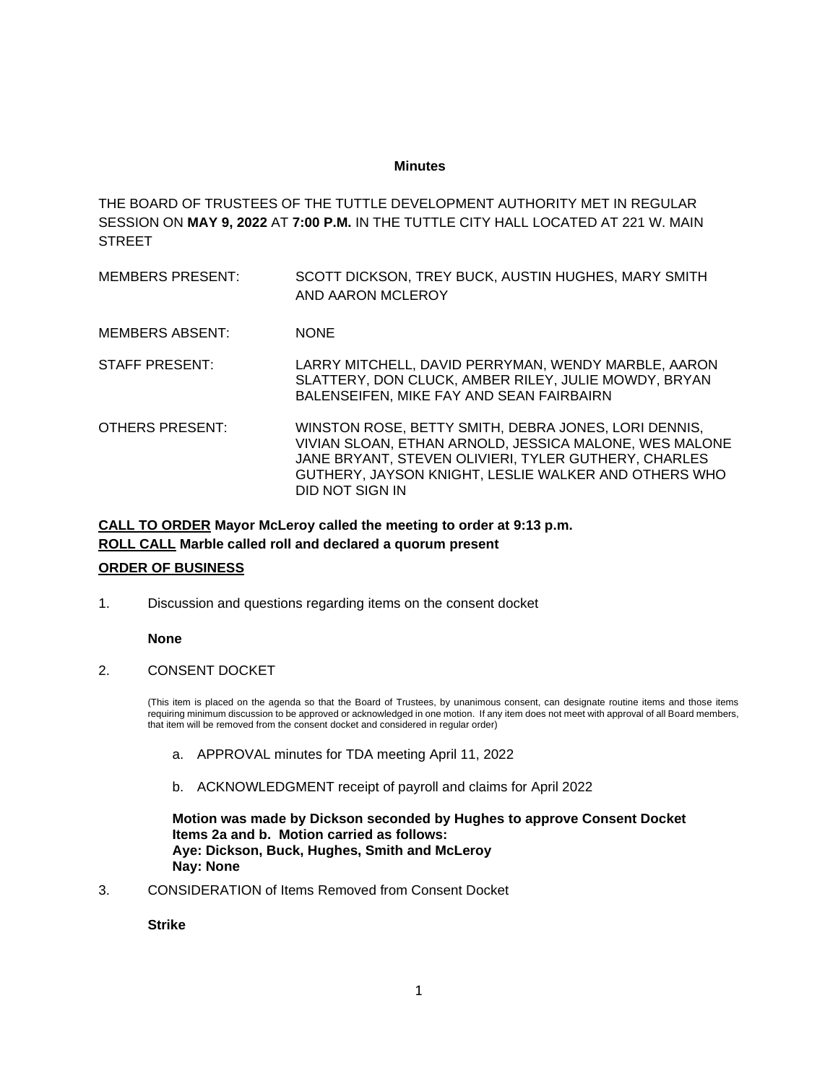# **Minutes**

THE BOARD OF TRUSTEES OF THE TUTTLE DEVELOPMENT AUTHORITY MET IN REGULAR SESSION ON **MAY 9, 2022** AT **7:00 P.M.** IN THE TUTTLE CITY HALL LOCATED AT 221 W. MAIN **STREET** 

MEMBERS PRESENT: SCOTT DICKSON, TREY BUCK, AUSTIN HUGHES, MARY SMITH AND AARON MCLEROY MEMBERS ABSENT: NONE STAFF PRESENT: LARRY MITCHELL, DAVID PERRYMAN, WENDY MARBLE, AARON SLATTERY, DON CLUCK, AMBER RILEY, JULIE MOWDY, BRYAN BALENSEIFEN, MIKE FAY AND SEAN FAIRBAIRN OTHERS PRESENT: WINSTON ROSE, BETTY SMITH, DEBRA JONES, LORI DENNIS, VIVIAN SLOAN, ETHAN ARNOLD, JESSICA MALONE, WES MALONE JANE BRYANT, STEVEN OLIVIERI, TYLER GUTHERY, CHARLES GUTHERY, JAYSON KNIGHT, LESLIE WALKER AND OTHERS WHO DID NOT SIGN IN

# **CALL TO ORDER Mayor McLeroy called the meeting to order at 9:13 p.m. ROLL CALL Marble called roll and declared a quorum present**

# **ORDER OF BUSINESS**

1. Discussion and questions regarding items on the consent docket

# **None**

# 2. CONSENT DOCKET

(This item is placed on the agenda so that the Board of Trustees, by unanimous consent, can designate routine items and those items requiring minimum discussion to be approved or acknowledged in one motion. If any item does not meet with approval of all Board members, that item will be removed from the consent docket and considered in regular order)

- a. APPROVAL minutes for TDA meeting April 11, 2022
- b. ACKNOWLEDGMENT receipt of payroll and claims for April 2022

**Motion was made by Dickson seconded by Hughes to approve Consent Docket Items 2a and b. Motion carried as follows: Aye: Dickson, Buck, Hughes, Smith and McLeroy Nay: None**

3. CONSIDERATION of Items Removed from Consent Docket

**Strike**